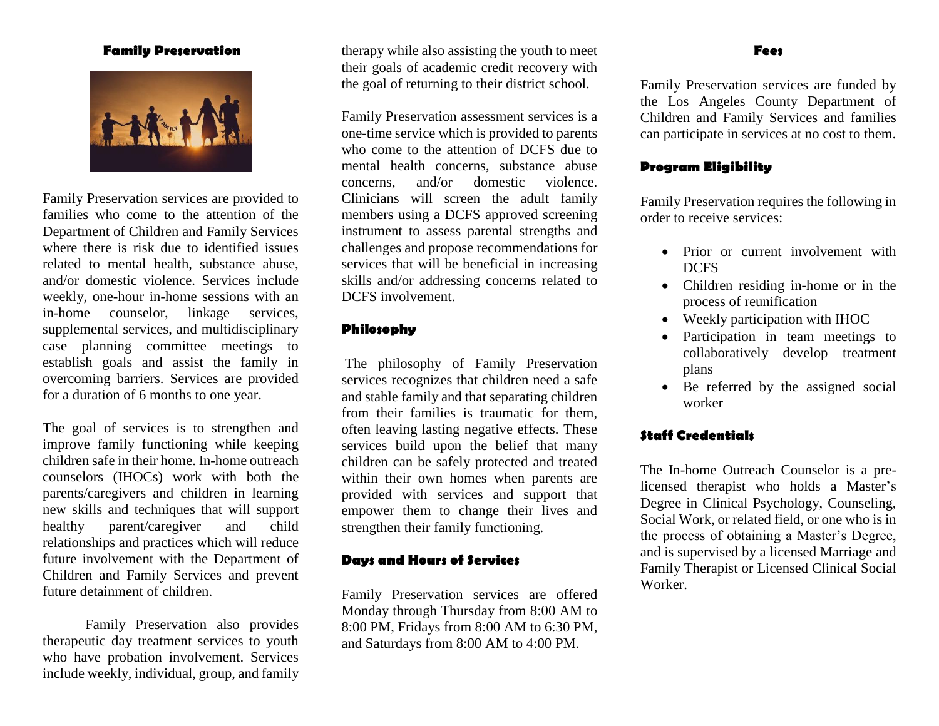#### **Family Preservation**



Family Preservation services are provided to families who come to the attention of the Department of Children and Family Services where there is risk due to identified issues related to mental health, substance abuse, and/or domestic violence. Services include weekly, one-hour in-home sessions with an in-home counselor, linkage services, supplemental services, and multidisciplinary case planning committee meetings to establish goals and assist the family in overcoming barriers. Services are provided for a duration of 6 months to one year.

The goal of services is to strengthen and improve family functioning while keeping children safe in their home. In-home outreach counselors (IHOCs) work with both the parents/caregivers and children in learning new skills and techniques that will support healthy parent/caregiver and child relationships and practices which will reduce future involvement with the Department of Children and Family Services and prevent future detainment of children.

Family Preservation also provides therapeutic day treatment services to youth who have probation involvement. Services include weekly, individual, group, and family therapy while also assisting the youth to meet their goals of academic credit recovery with the goal of returning to their district school.

Family Preservation assessment services is a one-time service which is provided to parents who come to the attention of DCFS due to mental health concerns, substance abuse concerns, and/or domestic violence. Clinicians will screen the adult family members using a DCFS approved screening instrument to assess parental strengths and challenges and propose recommendations for services that will be beneficial in increasing skills and/or addressing concerns related to DCFS involvement.

## **Philosophy**

The philosophy of Family Preservation services recognizes that children need a safe and stable family and that separating children from their families is traumatic for them, often leaving lasting negative effects. These services build upon the belief that many children can be safely protected and treated within their own homes when parents are provided with services and support that empower them to change their lives and strengthen their family functioning.

## **Days and Hours of Services**

Family Preservation services are offered Monday through Thursday from 8:00 AM to 8:00 PM, Fridays from 8:00 AM to 6:30 PM, and Saturdays from 8:00 AM to 4:00 PM.

#### **Fees**

Family Preservation services are funded by the Los Angeles County Department of Children and Family Services and families can participate in services at no cost to them.

### **Program Eligibility**

Family Preservation requires the following in order to receive services:

- Prior or current involvement with DCFS
- Children residing in-home or in the process of reunification
- Weekly participation with IHOC
- Participation in team meetings to collaboratively develop treatment plans
- Be referred by the assigned social worker

# **Staff Credentials**

The In-home Outreach Counselor is a prelicensed therapist who holds a Master's Degree in Clinical Psychology, Counseling, Social Work, or related field, or one who is in the process of obtaining a Master's Degree, and is supervised by a licensed Marriage and Family Therapist or Licensed Clinical Social Worker.